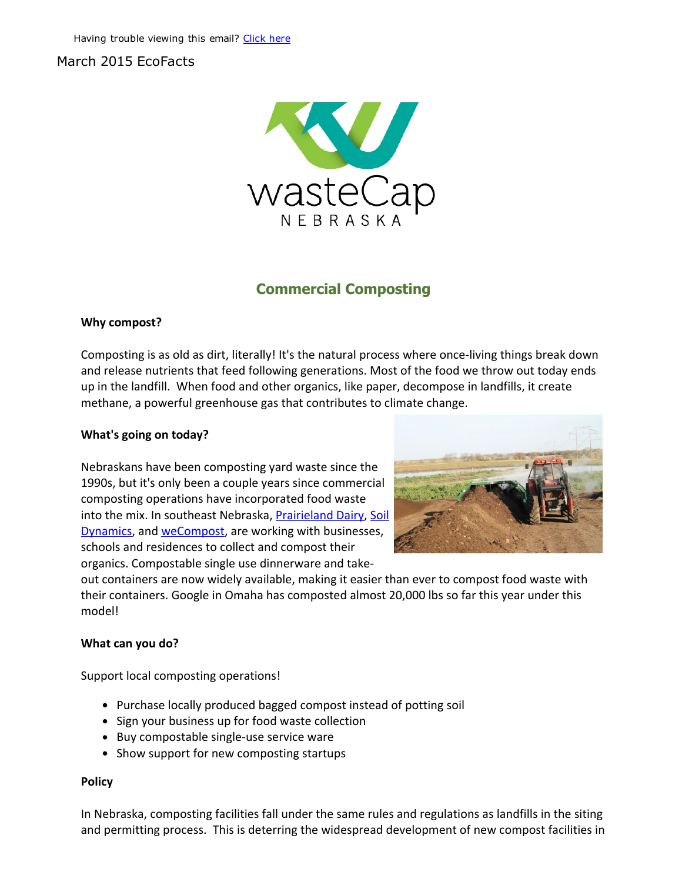## March 2015 EcoFacts



# Commercial Composting

### Why compost?

Composting is as old as dirt, literally! It's the natural process where once‐living things break down and release nutrients that feed following generations. Most of the food we throw out today ends up in the landfill. When food and other organics, like paper, decompose in landfills, it create methane, a powerful greenhouse gas that contributes to climate change.

#### What's going on today?

Nebraskans have been composting yard waste since the 1990s, but it's only been a couple years since commercial composting operations have incorporated food waste into the mix. In southeast Nebraska, [Prairieland](http://r20.rs6.net/tn.jsp?e=001ujPIAxeaU9C-5-bF0DFBi2t1ZKn_cuEijEoNcpIMXmdWS0hjt9r8Klpu4hJwABmR6oZsgUYWLDrU5Or0IrXxQx-nsJeZsGFOswa24C0CrVf2Cdy32bI0NdoIlJvDPEsXxzjZ2kL7vJI=) Dairy, Soil Dynamics, and [weCompost,](http://r20.rs6.net/tn.jsp?e=001ujPIAxeaU9C-5-bF0DFBi2t1ZKn_cuEijEoNcpIMXmdWS0hjt9r8Klpu4hJwABmR6oZsgUYWLDq07QS4MLzGxgTVeFSQvCY94qjCe8O-2vI=) are working with businesses, schools and residences to collect and compost their organics. Compostable single use dinnerware and take‐



out containers are now widely available, making it easier than ever to compost food waste with their containers. Google in Omaha has composted almost 20,000 lbs so far this year under this model!

#### What can you do?

Support local composting operations!

- Purchase locally produced bagged compost instead of potting soil
- Sign your business up for food waste collection
- Buy compostable single-use service ware
- Show support for new composting startups

#### Policy

In Nebraska, composting facilities fall under the same rules and regulations as landfills in the siting and permitting process. This is deterring the widespread development of new compost facilities in